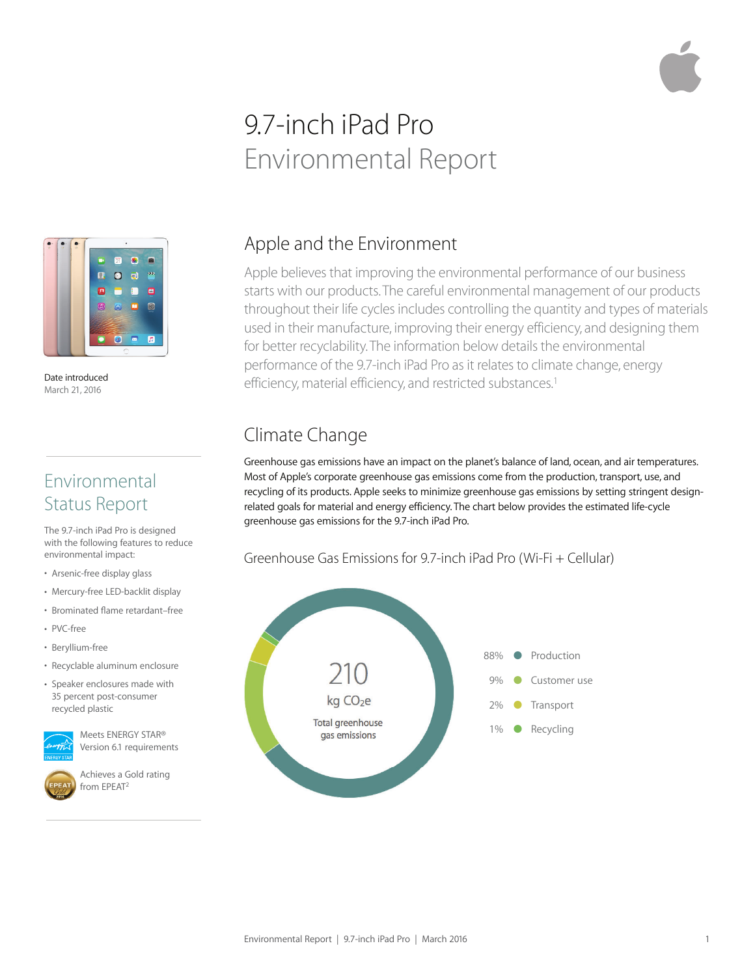# 9.7-inch iPad Pro Environmental Report



Date introduced March 21, 2016

### Environmental Status Report

The 9.7-inch iPad Pro is designed with the following features to reduce environmental impact:

- Arsenic-free display glass
- Mercury-free LED-backlit display
- Brominated flame retardant–free
- PVC-free
- Beryllium-free
- Recyclable aluminum enclosure
- Speaker enclosures made with 35 percent post-consumer recycled plastic

Meets ENERGY STAR® Version 6.1 requirements



Achieves a Gold rating from EPEAT2

## Apple and the Environment

Apple believes that improving the environmental performance of our business starts with our products. The careful environmental management of our products throughout their life cycles includes controlling the quantity and types of materials used in their manufacture, improving their energy efficiency, and designing them for better recyclability. The information below details the environmental performance of the 9.7-inch iPad Pro as it relates to climate change, energy efficiency, material efficiency, and restricted substances.<sup>1</sup>

# Climate Change

Greenhouse gas emissions have an impact on the planet's balance of land, ocean, and air temperatures. Most of Apple's corporate greenhouse gas emissions come from the production, transport, use, and recycling of its products. Apple seeks to minimize greenhouse gas emissions by setting stringent designrelated goals for material and energy efficiency. The chart below provides the estimated life-cycle greenhouse gas emissions for the 9.7-inch iPad Pro.

#### Greenhouse Gas Emissions for 9.7-inch iPad Pro (Wi-Fi + Cellular)

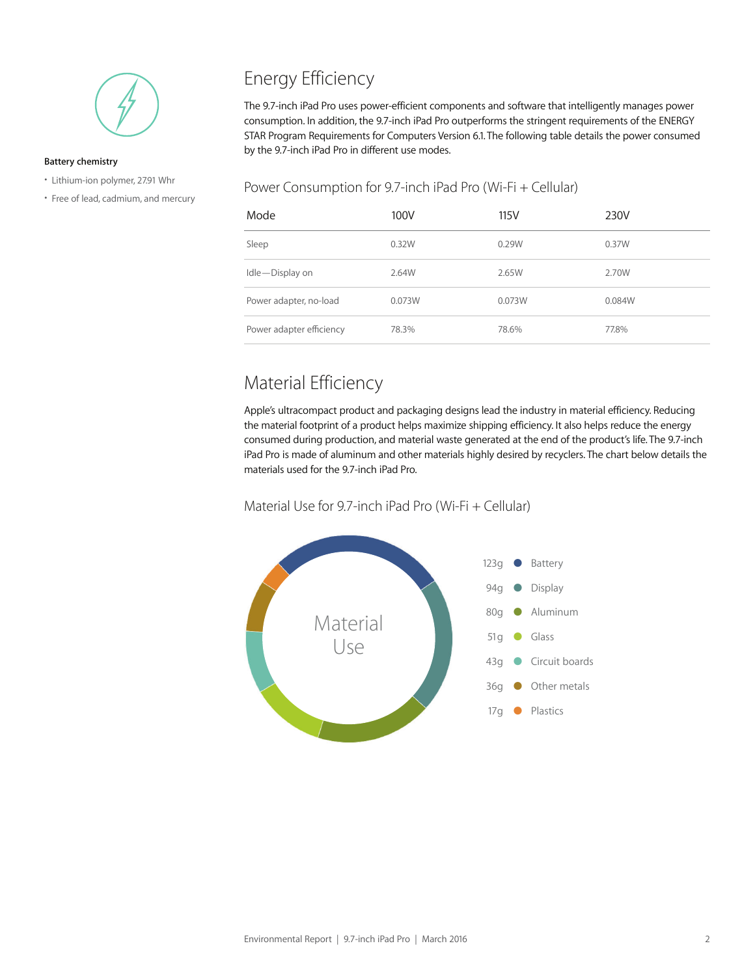

#### **Battery chemistry**

- Lithium-ion polymer, 27.91 Whr
- Free of lead, cadmium, and mercury

# Energy Efficiency

The 9.7-inch iPad Pro uses power-efficient components and software that intelligently manages power consumption. In addition, the 9.7-inch iPad Pro outperforms the stringent requirements of the ENERGY STAR Program Requirements for Computers Version 6.1. The following table details the power consumed by the 9.7-inch iPad Pro in different use modes.

#### Power Consumption for 9.7-inch iPad Pro (Wi-Fi + Cellular)

| Mode                     | 100V   | 115V   | 230V   |
|--------------------------|--------|--------|--------|
| Sleep                    | 0.32W  | 0.29W  | 0.37W  |
| Idle-Display on          | 2.64W  | 2.65W  | 2.70W  |
| Power adapter, no-load   | 0.073W | 0.073W | 0.084W |
| Power adapter efficiency | 78.3%  | 78.6%  | 77.8%  |

# Material Efficiency

Apple's ultracompact product and packaging designs lead the industry in material efficiency. Reducing the material footprint of a product helps maximize shipping efficiency. It also helps reduce the energy consumed during production, and material waste generated at the end of the product's life. The 9.7-inch iPad Pro is made of aluminum and other materials highly desired by recyclers. The chart below details the materials used for the 9.7-inch iPad Pro.

#### Material Use for 9.7-inch iPad Pro (Wi-Fi + Cellular)

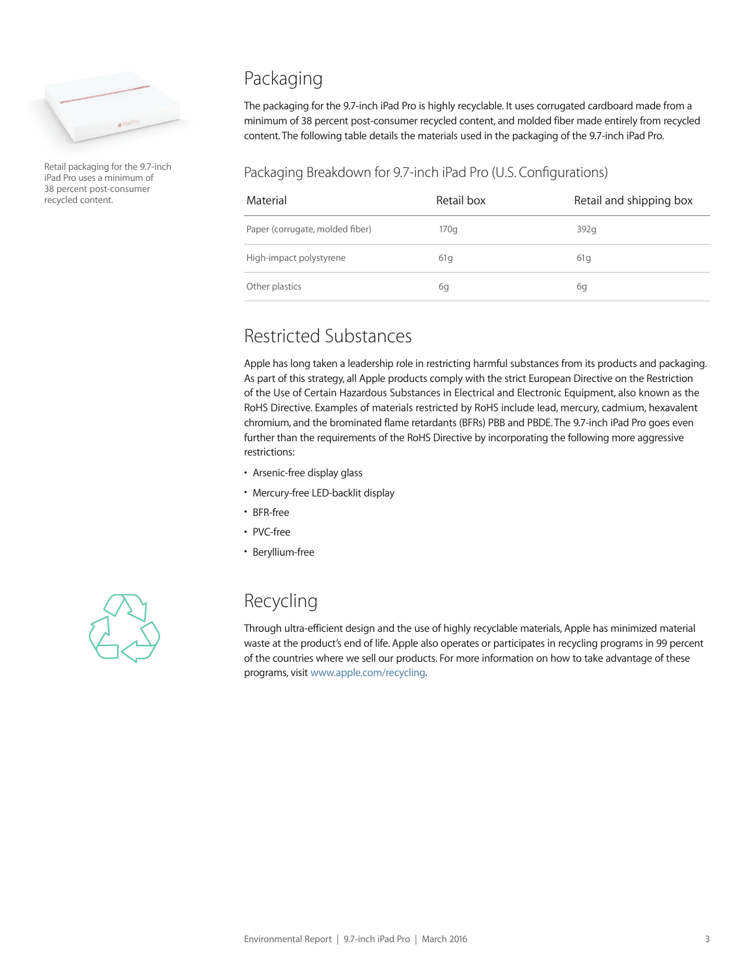

Retail packaging for the 9.7-inch iPad Pro uses a minimum of 38 percent post-consumer recycled content.

### Packaging

The packaging for the 9.7-inch iPad Pro is highly recyclable. It uses corrugated cardboard made from a minimum of 38 percent post-consumer recycled content, and molded fiber made entirely from recycled content. The following table details the materials used in the packaging of the 9.7-inch iPad Pro.

#### Packaging Breakdown for 9.7-inch iPad Pro (U.S. Configurations)

| Material                        | Retail box | Retail and shipping box |
|---------------------------------|------------|-------------------------|
| Paper (corrugate, molded fiber) | 170q       | 392q                    |
| High-impact polystyrene         | 61q        | 61q                     |
| Other plastics                  | 6g         | 6q                      |

### Restricted Substances

Apple has long taken a leadership role in restricting harmful substances from its products and packaging. As part of this strategy, all Apple products comply with the strict European Directive on the Restriction of the Use of Certain Hazardous Substances in Electrical and Electronic Equipment, also known as the RoHS Directive. Examples of materials restricted by RoHS include lead, mercury, cadmium, hexavalent chromium, and the brominated flame retardants (BFRs) PBB and PBDE. The 9.7-inch iPad Pro goes even further than the requirements of the RoHS Directive by incorporating the following more aggressive restrictions:

- Arsenic-free display glass
- Mercury-free LED-backlit display
- BFR-free
- PVC-free
- Beryllium-free

### Recycling

Through ultra-efficient design and the use of highly recyclable materials, Apple has minimized material waste at the product's end of life. Apple also operates or participates in recycling programs in 99 percent of the countries where we sell our products. For more information on how to take advantage of these programs, visit www.apple.com/recycling.